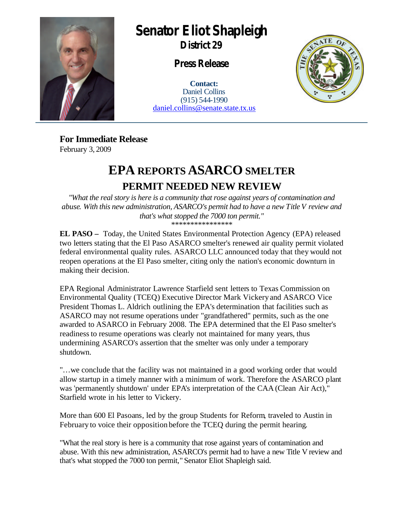

## **Senator Eliot Shapleigh**

**District 29**

**Press Release**

**Contact:** Daniel Collins (915) 544-1990 daniel.collins@senate.state.tx.us



**For Immediate Release** February 3, 2009

## **EPA REPORTS ASARCO SMELTER PERMIT NEEDED NEW REVIEW**

*"What the real story is here is a community that rose against years of contamination and abuse. With this new administration, ASARCO's permit had to have a new Title V review and that's what stopped the 7000 ton permit."*  \*\*\*\*\*\*\*\*\*\*\*\*\*\*\*\*

**EL PASO –** Today, the United States Environmental Protection Agency (EPA) released two letters stating that the El Paso ASARCO smelter's renewed air quality permit violated federal environmental quality rules. ASARCO LLC announced today that they would not reopen operations at the El Paso smelter, citing only the nation's economic downturn in making their decision.

EPA Regional Administrator Lawrence Starfield sent letters to Texas Commission on Environmental Quality (TCEQ) Executive Director Mark Vickery and ASARCO Vice President Thomas L. Aldrich outlining the EPA's determination that facilities such as ASARCO may not resume operations under "grandfathered" permits, such as the one awarded to ASARCO in February 2008. The EPA determined that the El Paso smelter's readiness to resume operations was clearly not maintained for many years, thus undermining ASARCO's assertion that the smelter was only under a temporary shutdown.

"…we conclude that the facility was not maintained in a good working order that would allow startup in a timely manner with a minimum of work. Therefore the ASARCO plant was 'permanently shutdown' under EPA's interpretation of the CAA (Clean Air Act)," Starfield wrote in his letter to Vickery.

More than 600 El Pasoans, led by the group Students for Reform, traveled to Austin in February to voice their opposition before the TCEQ during the permit hearing.

"What the real story is here is a community that rose against years of contamination and abuse. With this new administration, ASARCO's permit had to have a new Title V review and that's what stopped the 7000 ton permit," Senator Eliot Shapleigh said.